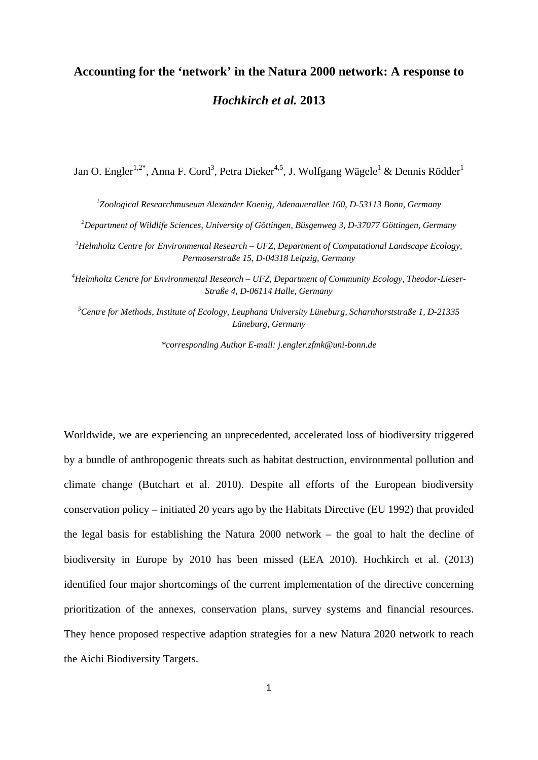## **Accounting for the 'network' in the Natura 2000 network: A response to**  *Hochkirch et al.* **2013**

Jan O. Engler $^{1,2^*}$ , Anna F. Cord $^3$ , Petra Dieker $^{4,5}$ , J. Wolfgang Wägele $^1$  & Dennis Rödder $^1$ 

 *Zoological Researchmuseum Alexander Koenig, Adenauerallee 160, D-53113 Bonn, Germany Department of Wildlife Sciences, University of Göttingen, Büsgenweg 3, D-37077 Göttingen, Germany Helmholtz Centre for Environmental Research – UFZ, Department of Computational Landscape Ecology, Permoserstraße 15, D-04318 Leipzig, Germany* 

*4 Helmholtz Centre for Environmental Research – UFZ, Department of Community Ecology, Theodor-Lieser-Straße 4, D-06114 Halle, Germany* 

*5 Centre for Methods, Institute of Ecology, Leuphana University Lüneburg, Scharnhorststraße 1, D-21335 Lüneburg, Germany* 

*\*corresponding Author E-mail: j.engler.zfmk@uni-bonn.de*

Worldwide, we are experiencing an unprecedented, accelerated loss of biodiversity triggered by a bundle of anthropogenic threats such as habitat destruction, environmental pollution and climate change (Butchart et al. 2010). Despite all efforts of the European biodiversity conservation policy – initiated 20 years ago by the Habitats Directive (EU 1992) that provided the legal basis for establishing the Natura 2000 network – the goal to halt the decline of biodiversity in Europe by 2010 has been missed (EEA 2010). Hochkirch et al. (2013) identified four major shortcomings of the current implementation of the directive concerning prioritization of the annexes, conservation plans, survey systems and financial resources. They hence proposed respective adaption strategies for a new Natura 2020 network to reach the Aichi Biodiversity Targets.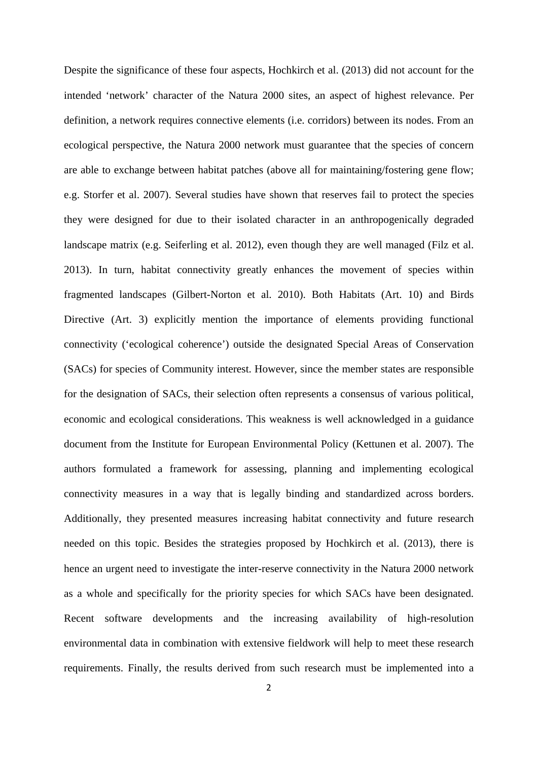Despite the significance of these four aspects, Hochkirch et al. (2013) did not account for the intended 'network' character of the Natura 2000 sites, an aspect of highest relevance. Per definition, a network requires connective elements (i.e. corridors) between its nodes. From an ecological perspective, the Natura 2000 network must guarantee that the species of concern are able to exchange between habitat patches (above all for maintaining/fostering gene flow; e.g. Storfer et al. 2007). Several studies have shown that reserves fail to protect the species they were designed for due to their isolated character in an anthropogenically degraded landscape matrix (e.g. Seiferling et al. 2012), even though they are well managed (Filz et al. 2013). In turn, habitat connectivity greatly enhances the movement of species within fragmented landscapes (Gilbert-Norton et al. 2010). Both Habitats (Art. 10) and Birds Directive (Art. 3) explicitly mention the importance of elements providing functional connectivity ('ecological coherence') outside the designated Special Areas of Conservation (SACs) for species of Community interest. However, since the member states are responsible for the designation of SACs, their selection often represents a consensus of various political, economic and ecological considerations. This weakness is well acknowledged in a guidance document from the Institute for European Environmental Policy (Kettunen et al. 2007). The authors formulated a framework for assessing, planning and implementing ecological connectivity measures in a way that is legally binding and standardized across borders. Additionally, they presented measures increasing habitat connectivity and future research needed on this topic. Besides the strategies proposed by Hochkirch et al. (2013), there is hence an urgent need to investigate the inter-reserve connectivity in the Natura 2000 network as a whole and specifically for the priority species for which SACs have been designated. Recent software developments and the increasing availability of high-resolution environmental data in combination with extensive fieldwork will help to meet these research requirements. Finally, the results derived from such research must be implemented into a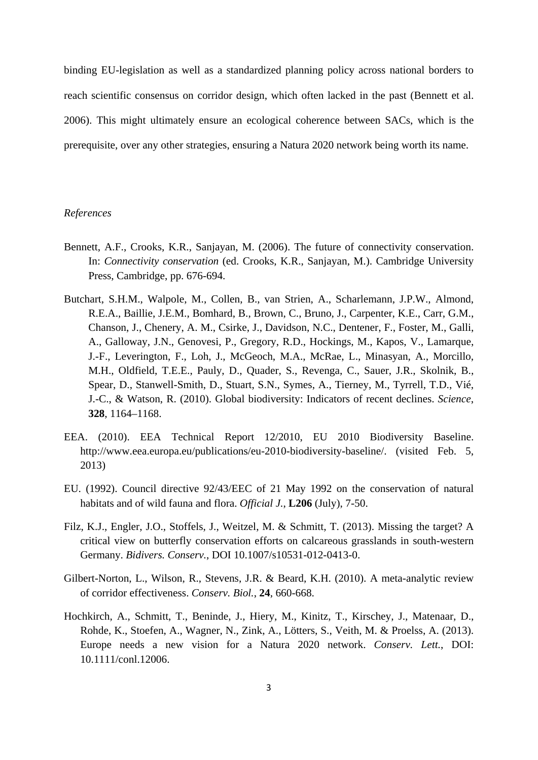binding EU-legislation as well as a standardized planning policy across national borders to reach scientific consensus on corridor design, which often lacked in the past (Bennett et al. 2006). This might ultimately ensure an ecological coherence between SACs, which is the prerequisite, over any other strategies, ensuring a Natura 2020 network being worth its name.

## *References*

- Bennett, A.F., Crooks, K.R., Sanjayan, M. (2006). The future of connectivity conservation. In: *Connectivity conservation* (ed. Crooks, K.R., Sanjayan, M.). Cambridge University Press, Cambridge, pp. 676-694.
- Butchart, S.H.M., Walpole, M., Collen, B., van Strien, A., Scharlemann, J.P.W., Almond, R.E.A., Baillie, J.E.M., Bomhard, B., Brown, C., Bruno, J., Carpenter, K.E., Carr, G.M., Chanson, J., Chenery, A. M., Csirke, J., Davidson, N.C., Dentener, F., Foster, M., Galli, A., Galloway, J.N., Genovesi, P., Gregory, R.D., Hockings, M., Kapos, V., Lamarque, J.-F., Leverington, F., Loh, J., McGeoch, M.A., McRae, L., Minasyan, A., Morcillo, M.H., Oldfield, T.E.E., Pauly, D., Quader, S., Revenga, C., Sauer, J.R., Skolnik, B., Spear, D., Stanwell-Smith, D., Stuart, S.N., Symes, A., Tierney, M., Tyrrell, T.D., Vié, J.-C., & Watson, R. (2010). Global biodiversity: Indicators of recent declines. *Science*, **328**, 1164–1168.
- EEA. (2010). EEA Technical Report 12/2010, EU 2010 Biodiversity Baseline. http://www.eea.europa.eu/publications/eu-2010-biodiversity-baseline/. (visited Feb. 5, 2013)
- EU. (1992). Council directive 92/43/EEC of 21 May 1992 on the conservation of natural habitats and of wild fauna and flora. *Official J.*, **L206** (July), 7-50.
- Filz, K.J., Engler, J.O., Stoffels, J., Weitzel, M. & Schmitt, T. (2013). Missing the target? A critical view on butterfly conservation efforts on calcareous grasslands in south-western Germany. *Bidivers. Conserv.*, DOI 10.1007/s10531-012-0413-0.
- Gilbert-Norton, L., Wilson, R., Stevens, J.R. & Beard, K.H. (2010). A meta-analytic review of corridor effectiveness. *Conserv. Biol.*, **24**, 660-668.
- Hochkirch, A., Schmitt, T., Beninde, J., Hiery, M., Kinitz, T., Kirschey, J., Matenaar, D., Rohde, K., Stoefen, A., Wagner, N., Zink, A., Lötters, S., Veith, M. & Proelss, A. (2013). Europe needs a new vision for a Natura 2020 network. *Conserv. Lett.*, DOI: 10.1111/conl.12006.